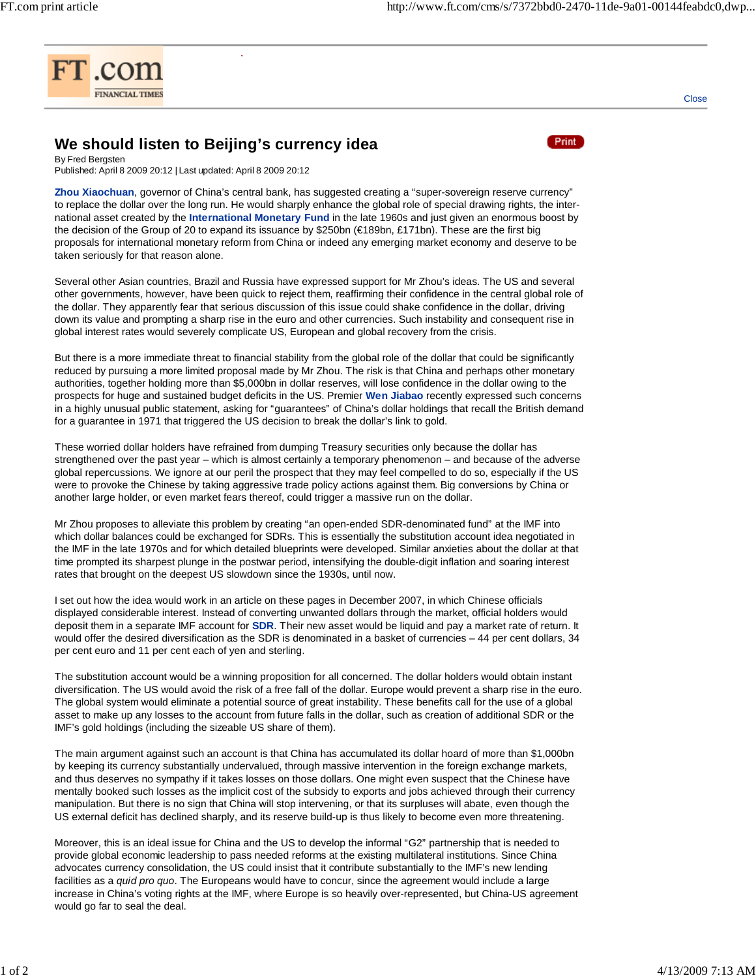

**Close** 

## **We should listen to Beijing's currency idea**

COMMENT



By Fred Bergsten Published: April 8 2009 20:12 | Last updated: April 8 2009 20:12

**Zhou Xiaochuan**, governor of China's central bank, has suggested creating a "super-sovereign reserve currency" to replace the dollar over the long run. He would sharply enhance the global role of special drawing rights, the international asset created by the **International Monetary Fund** in the late 1960s and just given an enormous boost by the decision of the Group of 20 to expand its issuance by \$250bn (€189bn, £171bn). These are the first big proposals for international monetary reform from China or indeed any emerging market economy and deserve to be taken seriously for that reason alone.

Several other Asian countries, Brazil and Russia have expressed support for Mr Zhou's ideas. The US and several other governments, however, have been quick to reject them, reaffirming their confidence in the central global role of the dollar. They apparently fear that serious discussion of this issue could shake confidence in the dollar, driving down its value and prompting a sharp rise in the euro and other currencies. Such instability and consequent rise in global interest rates would severely complicate US, European and global recovery from the crisis.

But there is a more immediate threat to financial stability from the global role of the dollar that could be significantly reduced by pursuing a more limited proposal made by Mr Zhou. The risk is that China and perhaps other monetary authorities, together holding more than \$5,000bn in dollar reserves, will lose confidence in the dollar owing to the prospects for huge and sustained budget deficits in the US. Premier **Wen Jiabao** recently expressed such concerns in a highly unusual public statement, asking for "guarantees" of China's dollar holdings that recall the British demand for a guarantee in 1971 that triggered the US decision to break the dollar's link to gold.

These worried dollar holders have refrained from dumping Treasury securities only because the dollar has strengthened over the past year – which is almost certainly a temporary phenomenon – and because of the adverse global repercussions. We ignore at our peril the prospect that they may feel compelled to do so, especially if the US were to provoke the Chinese by taking aggressive trade policy actions against them. Big conversions by China or another large holder, or even market fears thereof, could trigger a massive run on the dollar.

Mr Zhou proposes to alleviate this problem by creating "an open-ended SDR-denominated fund" at the IMF into which dollar balances could be exchanged for SDRs. This is essentially the substitution account idea negotiated in the IMF in the late 1970s and for which detailed blueprints were developed. Similar anxieties about the dollar at that time prompted its sharpest plunge in the postwar period, intensifying the double-digit inflation and soaring interest rates that brought on the deepest US slowdown since the 1930s, until now.

I set out how the idea would work in an article on these pages in December 2007, in which Chinese officials displayed considerable interest. Instead of converting unwanted dollars through the market, official holders would deposit them in a separate IMF account for **SDR**. Their new asset would be liquid and pay a market rate of return. It would offer the desired diversification as the SDR is denominated in a basket of currencies – 44 per cent dollars, 34 per cent euro and 11 per cent each of yen and sterling.

The substitution account would be a winning proposition for all concerned. The dollar holders would obtain instant diversification. The US would avoid the risk of a free fall of the dollar. Europe would prevent a sharp rise in the euro. The global system would eliminate a potential source of great instability. These benefits call for the use of a global asset to make up any losses to the account from future falls in the dollar, such as creation of additional SDR or the IMF's gold holdings (including the sizeable US share of them).

The main argument against such an account is that China has accumulated its dollar hoard of more than \$1,000bn by keeping its currency substantially undervalued, through massive intervention in the foreign exchange markets, and thus deserves no sympathy if it takes losses on those dollars. One might even suspect that the Chinese have mentally booked such losses as the implicit cost of the subsidy to exports and jobs achieved through their currency manipulation. But there is no sign that China will stop intervening, or that its surpluses will abate, even though the US external deficit has declined sharply, and its reserve build-up is thus likely to become even more threatening.

Moreover, this is an ideal issue for China and the US to develop the informal "G2" partnership that is needed to provide global economic leadership to pass needed reforms at the existing multilateral institutions. Since China advocates currency consolidation, the US could insist that it contribute substantially to the IMF's new lending facilities as a *quid pro quo*. The Europeans would have to concur, since the agreement would include a large increase in China's voting rights at the IMF, where Europe is so heavily over-represented, but China-US agreement would go far to seal the deal.